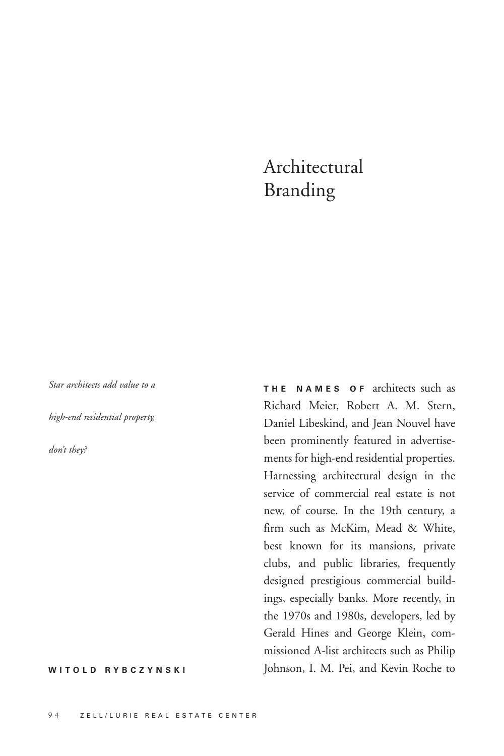## Architectural Branding

*Star architects add value to a*

*high-end residential property,*

*don't they?*

**WITOLD RYBCZYNSKI**

**THE NAMES OF** architects such as Richard Meier, Robert A. M. Stern, Daniel Libeskind, and Jean Nouvel have been prominently featured in advertisements for high-end residential properties. Harnessing architectural design in the service of commercial real estate is not new, of course. In the 19th century, a firm such as McKim, Mead & White, best known for its mansions, private clubs, and public libraries, frequently designed prestigious commercial buildings, especially banks. More recently, in the 1970s and 1980s, developers, led by Gerald Hines and George Klein, commissioned A-list architects such as Philip Johnson, I. M. Pei, and Kevin Roche to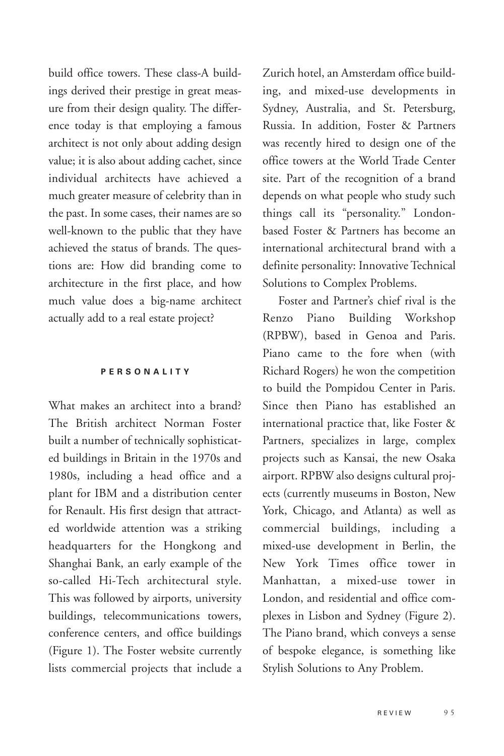build office towers. These class-A buildings derived their prestige in great measure from their design quality. The difference today is that employing a famous architect is not only about adding design value; it is also about adding cachet, since individual architects have achieved a much greater measure of celebrity than in the past. In some cases, their names are so well-known to the public that they have achieved the status of brands. The questions are: How did branding come to architecture in the first place, and how much value does a big-name architect actually add to a real estate project?

## **PERSONALITY**

What makes an architect into a brand? The British architect Norman Foster built a number of technically sophisticated buildings in Britain in the 1970s and 1980s, including a head office and a plant for IBM and a distribution center for Renault. His first design that attracted worldwide attention was a striking headquarters for the Hongkong and Shanghai Bank, an early example of the so-called Hi-Tech architectural style. This was followed by airports, university buildings, telecommunications towers, conference centers, and office buildings (Figure 1). The Foster website currently lists commercial projects that include a

Zurich hotel, an Amsterdam office building, and mixed-use developments in Sydney, Australia, and St. Petersburg, Russia. In addition, Foster & Partners was recently hired to design one of the office towers at the World Trade Center site. Part of the recognition of a brand depends on what people who study such things call its "personality." Londonbased Foster & Partners has become an international architectural brand with a definite personality: Innovative Technical Solutions to Complex Problems.

Foster and Partner's chief rival is the Renzo Piano Building Workshop (RPBW), based in Genoa and Paris. Piano came to the fore when (with Richard Rogers) he won the competition to build the Pompidou Center in Paris. Since then Piano has established an international practice that, like Foster & Partners, specializes in large, complex projects such as Kansai, the new Osaka airport. RPBW also designs cultural projects (currently museums in Boston, New York, Chicago, and Atlanta) as well as commercial buildings, including a mixed-use development in Berlin, the New York Times office tower in Manhattan, a mixed-use tower in London, and residential and office complexes in Lisbon and Sydney (Figure 2). The Piano brand, which conveys a sense of bespoke elegance, is something like Stylish Solutions to Any Problem.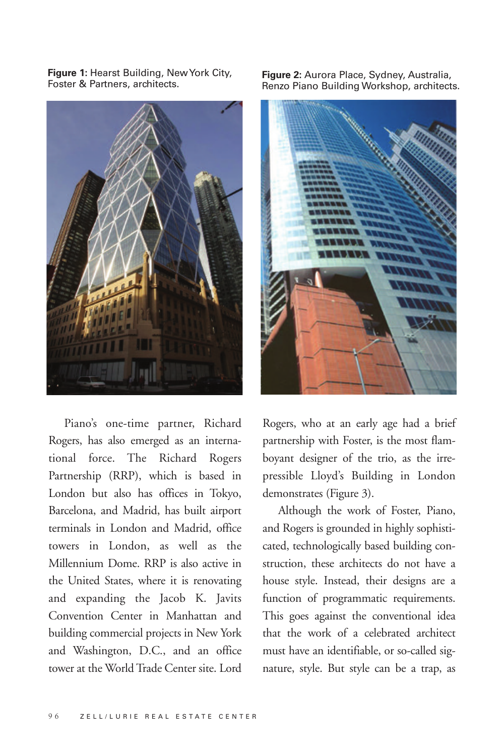**Figure 1:** Hearst Building, New York City, Foster & Partners, architects.



Piano's one-time partner, Richard Rogers, has also emerged as an international force. The Richard Rogers Partnership (RRP), which is based in London but also has offices in Tokyo, Barcelona, and Madrid, has built airport terminals in London and Madrid, office towers in London, as well as the Millennium Dome. RRP is also active in the United States, where it is renovating and expanding the Jacob K. Javits Convention Center in Manhattan and building commercial projects in New York and Washington, D.C., and an office tower at the World Trade Center site. Lord

**Figure 2:** Aurora Place, Sydney, Australia, Renzo Piano Building Workshop, architects.



Rogers, who at an early age had a brief partnership with Foster, is the most flamboyant designer of the trio, as the irrepressible Lloyd's Building in London demonstrates (Figure 3).

Although the work of Foster, Piano, and Rogers is grounded in highly sophisticated, technologically based building construction, these architects do not have a house style. Instead, their designs are a function of programmatic requirements. This goes against the conventional idea that the work of a celebrated architect must have an identifiable, or so-called signature, style. But style can be a trap, as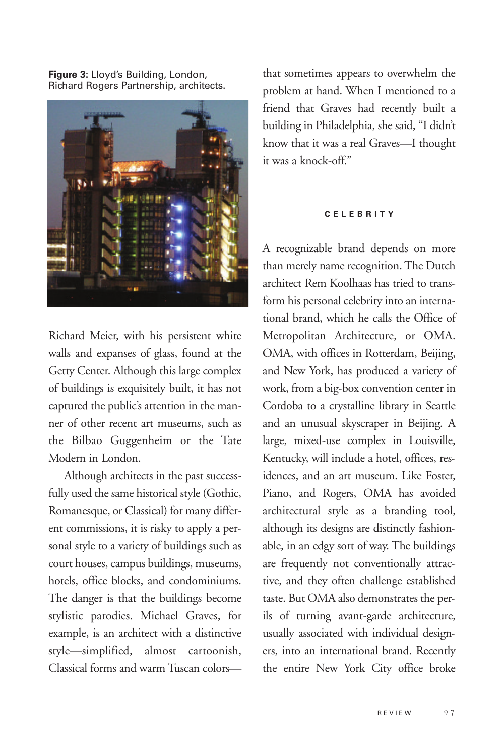**Figure 3:** Lloyd's Building, London, Richard Rogers Partnership, architects.



Richard Meier, with his persistent white walls and expanses of glass, found at the Getty Center. Although this large complex of buildings is exquisitely built, it has not captured the public's attention in the manner of other recent art museums, such as the Bilbao Guggenheim or the Tate Modern in London.

Although architects in the past successfully used the same historical style (Gothic, Romanesque, or Classical) for many different commissions, it is risky to apply a personal style to a variety of buildings such as court houses, campus buildings, museums, hotels, office blocks, and condominiums. The danger is that the buildings become stylistic parodies. Michael Graves, for example, is an architect with a distinctive style—simplified, almost cartoonish, Classical forms and warm Tuscan colors—

that sometimes appears to overwhelm the problem at hand. When I mentioned to a friend that Graves had recently built a building in Philadelphia, she said, "I didn't know that it was a real Graves—I thought it was a knock-off."

## **C ELEBRITY**

A recognizable brand depends on more than merely name recognition. The Dutch architect Rem Koolhaas has tried to transform his personal celebrity into an international brand, which he calls the Office of Metropolitan Architecture, or OMA. OMA, with offices in Rotterdam, Beijing, and New York, has produced a variety of work, from a big-box convention center in Cordoba to a crystalline library in Seattle and an unusual skyscraper in Beijing. A large, mixed-use complex in Louisville, Kentucky, will include a hotel, offices, residences, and an art museum. Like Foster, Piano, and Rogers, OMA has avoided architectural style as a branding tool, although its designs are distinctly fashionable, in an edgy sort of way. The buildings are frequently not conventionally attractive, and they often challenge established taste. But OMA also demonstrates the perils of turning avant-garde architecture, usually associated with individual designers, into an international brand. Recently the entire New York City office broke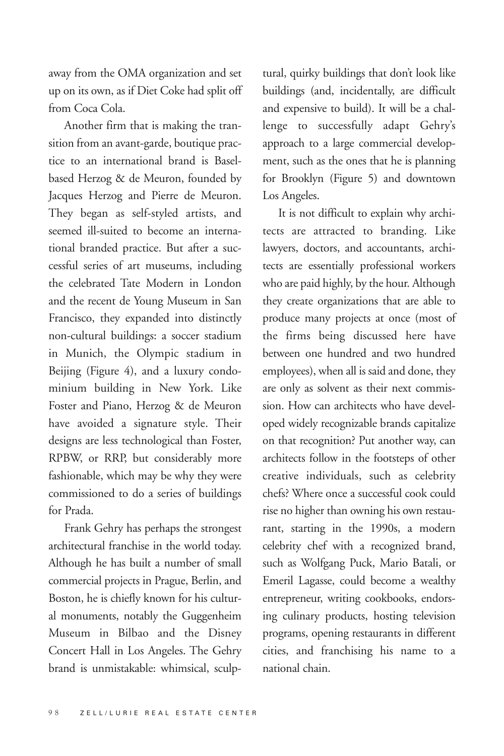away from the OMA organization and set up on its own, as if Diet Coke had split off from Coca Cola.

Another firm that is making the transition from an avant-garde, boutique practice to an international brand is Baselbased Herzog & de Meuron, founded by Jacques Herzog and Pierre de Meuron. They began as self-styled artists, and seemed ill-suited to become an international branded practice. But after a successful series of art museums, including the celebrated Tate Modern in London and the recent de Young Museum in San Francisco, they expanded into distinctly non-cultural buildings: a soccer stadium in Munich, the Olympic stadium in Beijing (Figure 4), and a luxury condominium building in New York. Like Foster and Piano, Herzog & de Meuron have avoided a signature style. Their designs are less technological than Foster, RPBW, or RRP, but considerably more fashionable, which may be why they were commissioned to do a series of buildings for Prada.

Frank Gehry has perhaps the strongest architectural franchise in the world today. Although he has built a number of small commercial projects in Prague, Berlin, and Boston, he is chiefly known for his cultural monuments, notably the Guggenheim Museum in Bilbao and the Disney Concert Hall in Los Angeles. The Gehry brand is unmistakable: whimsical, sculp-

tural, quirky buildings that don't look like buildings (and, incidentally, are difficult and expensive to build). It will be a challenge to successfully adapt Gehry's approach to a large commercial development, such as the ones that he is planning for Brooklyn (Figure 5) and downtown Los Angeles.

It is not difficult to explain why architects are attracted to branding. Like lawyers, doctors, and accountants, architects are essentially professional workers who are paid highly, by the hour. Although they create organizations that are able to produce many projects at once (most of the firms being discussed here have between one hundred and two hundred employees), when all is said and done, they are only as solvent as their next commission. How can architects who have developed widely recognizable brands capitalize on that recognition? Put another way, can architects follow in the footsteps of other creative individuals, such as celebrity chefs? Where once a successful cook could rise no higher than owning his own restaurant, starting in the 1990s, a modern celebrity chef with a recognized brand, such as Wolfgang Puck, Mario Batali, or Emeril Lagasse, could become a wealthy entrepreneur, writing cookbooks, endorsing culinary products, hosting television programs, opening restaurants in different cities, and franchising his name to a national chain.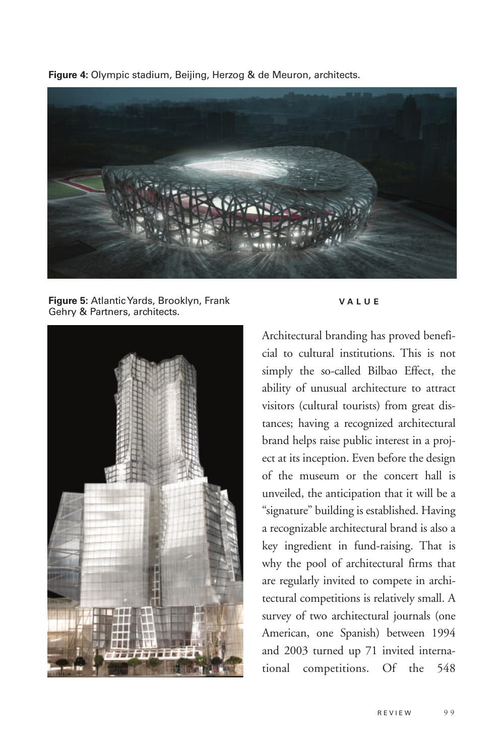**Figure 4:** Olympic stadium, Beijing, Herzog & de Meuron, architects.



**Figure 5:** Atlantic Yards, Brooklyn, Frank Gehry & Partners, architects.



## **VALUE**

Architectural branding has proved beneficial to cultural institutions. This is not simply the so-called Bilbao Effect, the ability of unusual architecture to attract visitors (cultural tourists) from great distances; having a recognized architectural brand helps raise public interest in a project at its inception. Even before the design of the museum or the concert hall is unveiled, the anticipation that it will be a "signature" building is established. Having a recognizable architectural brand is also a key ingredient in fund-raising. That is why the pool of architectural firms that are regularly invited to compete in architectural competitions is relatively small. A survey of two architectural journals (one American, one Spanish) between 1994 and 2003 turned up 71 invited international competitions. Of the 548